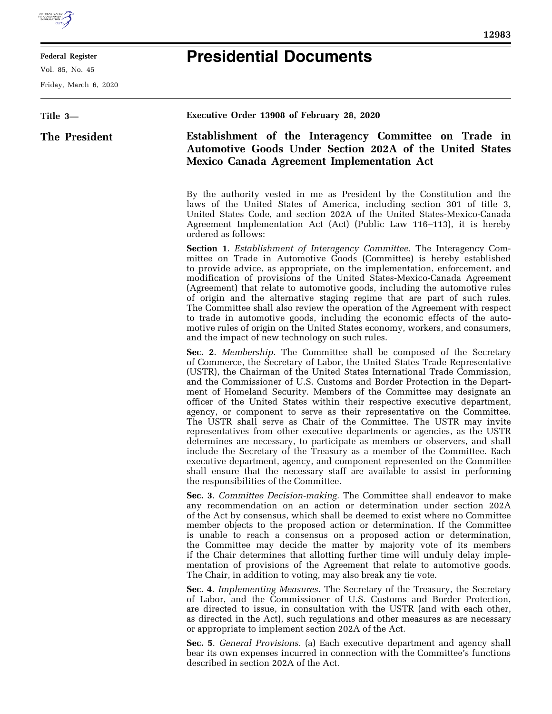

## **Federal Register**

Vol. 85, No. 45

Friday, March 6, 2020

## **Presidential Documents**

**12983** 

**Title 3— The President Executive Order 13908 of February 28, 2020 Establishment of the Interagency Committee on Trade in Automotive Goods Under Section 202A of the United States Mexico Canada Agreement Implementation Act**  By the authority vested in me as President by the Constitution and the laws of the United States of America, including section 301 of title 3, United States Code, and section 202A of the United States-Mexico-Canada Agreement Implementation Act (Act) (Public Law 116–113), it is hereby ordered as follows: **Section 1**. *Establishment of Interagency Committee.* The Interagency Committee on Trade in Automotive Goods (Committee) is hereby established to provide advice, as appropriate, on the implementation, enforcement, and modification of provisions of the United States-Mexico-Canada Agreement (Agreement) that relate to automotive goods, including the automotive rules of origin and the alternative staging regime that are part of such rules. The Committee shall also review the operation of the Agreement with respect to trade in automotive goods, including the economic effects of the automotive rules of origin on the United States economy, workers, and consumers, and the impact of new technology on such rules. **Sec. 2**. *Membership.* The Committee shall be composed of the Secretary of Commerce, the Secretary of Labor, the United States Trade Representative (USTR), the Chairman of the United States International Trade Commission, and the Commissioner of U.S. Customs and Border Protection in the Department of Homeland Security. Members of the Committee may designate an officer of the United States within their respective executive department, agency, or component to serve as their representative on the Committee. The USTR shall serve as Chair of the Committee. The USTR may invite representatives from other executive departments or agencies, as the USTR determines are necessary, to participate as members or observers, and shall include the Secretary of the Treasury as a member of the Committee. Each executive department, agency, and component represented on the Committee shall ensure that the necessary staff are available to assist in performing the responsibilities of the Committee. **Sec. 3**. *Committee Decision-making.* The Committee shall endeavor to make any recommendation on an action or determination under section 202A of the Act by consensus, which shall be deemed to exist where no Committee member objects to the proposed action or determination. If the Committee is unable to reach a consensus on a proposed action or determination, the Committee may decide the matter by majority vote of its members if the Chair determines that allotting further time will unduly delay implementation of provisions of the Agreement that relate to automotive goods. The Chair, in addition to voting, may also break any tie vote. **Sec. 4**. *Implementing Measures.* The Secretary of the Treasury, the Secretary of Labor, and the Commissioner of U.S. Customs and Border Protection,

are directed to issue, in consultation with the USTR (and with each other, as directed in the Act), such regulations and other measures as are necessary or appropriate to implement section 202A of the Act.

**Sec. 5**. *General Provisions.* (a) Each executive department and agency shall bear its own expenses incurred in connection with the Committee's functions described in section 202A of the Act.